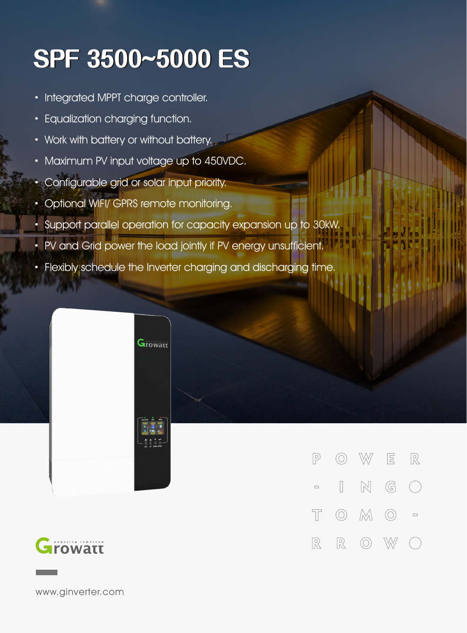## **SPF3500~5000ES**

- · Integrated MPPT charge controller.
- · Equalization charging function.
- · Work with battery or without battery.
- · Maximum PV input voltage up to 450VDC.
- · Configurable grid or solar input priority.
- · Optional WIFI/ GPRS remote monitoring.
- · Support parallel operation for capacity expansion up to 30kW.
- · PV and Grid power the load jointly if PV energy unsufficient.

Growatt

· Flexibly schedule the Inverter charging and discharging time.



 $\circledcirc$  W ER  $\sqrt{P}$  $N$  G  $\begin{array}{ccc} \hline \end{array}$  $\left(\begin{array}{c}\right)$  $\Box$  $\circledcirc$   $\mathbb{M}$   $\circlearrowright$  =  $\top$  $\mathbb{R}$  $\circledcirc$  $\mathbb{R}$ W

www.ginverter.com